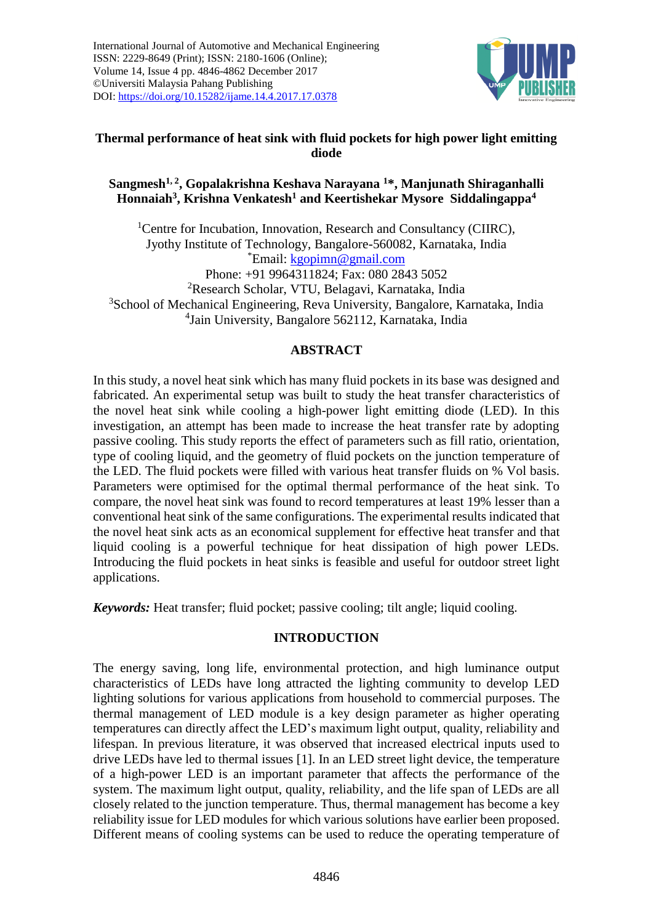

# **Thermal performance of heat sink with fluid pockets for high power light emitting diode**

# **Sangmesh1, 2, Gopalakrishna Keshava Narayana <sup>1</sup>\*, Manjunath Shiraganhalli Honnaiah<sup>3</sup> , Krishna Venkatesh<sup>1</sup> and Keertishekar Mysore Siddalingappa<sup>4</sup>**

<sup>1</sup>Centre for Incubation, Innovation, Research and Consultancy (CIIRC), Jyothy Institute of Technology, Bangalore-560082, Karnataka, India \*Email: [kgopimn@gmail.com](mailto:kgopimn@gmail.com) Phone: +91 9964311824; Fax: 080 2843 5052 <sup>2</sup>Research Scholar, VTU, Belagavi, Karnataka, India <sup>3</sup>School of Mechanical Engineering, Reva University, Bangalore, Karnataka, India 4 Jain University, Bangalore 562112, Karnataka, India

# **ABSTRACT**

In this study, a novel heat sink which has many fluid pockets in its base was designed and fabricated. An experimental setup was built to study the heat transfer characteristics of the novel heat sink while cooling a high-power light emitting diode (LED). In this investigation, an attempt has been made to increase the heat transfer rate by adopting passive cooling. This study reports the effect of parameters such as fill ratio, orientation, type of cooling liquid, and the geometry of fluid pockets on the junction temperature of the LED. The fluid pockets were filled with various heat transfer fluids on % Vol basis. Parameters were optimised for the optimal thermal performance of the heat sink. To compare, the novel heat sink was found to record temperatures at least 19% lesser than a conventional heat sink of the same configurations. The experimental results indicated that the novel heat sink acts as an economical supplement for effective heat transfer and that liquid cooling is a powerful technique for heat dissipation of high power LEDs. Introducing the fluid pockets in heat sinks is feasible and useful for outdoor street light applications.

*Keywords:* Heat transfer; fluid pocket; passive cooling; tilt angle; liquid cooling.

### **INTRODUCTION**

The energy saving, long life, environmental protection, and high luminance output characteristics of LEDs have long attracted the lighting community to develop LED lighting solutions for various applications from household to commercial purposes. The thermal management of LED module is a key design parameter as higher operating temperatures can directly affect the LED's maximum light output, quality, reliability and lifespan. In previous literature, it was observed that increased electrical inputs used to drive LEDs have led to thermal issues [\[1\]](#page-13-0). In an LED street light device, the temperature of a high-power LED is an important parameter that affects the performance of the system. The maximum light output, quality, reliability, and the life span of LEDs are all closely related to the junction temperature. Thus, thermal management has become a key reliability issue for LED modules for which various solutions have earlier been proposed. Different means of cooling systems can be used to reduce the operating temperature of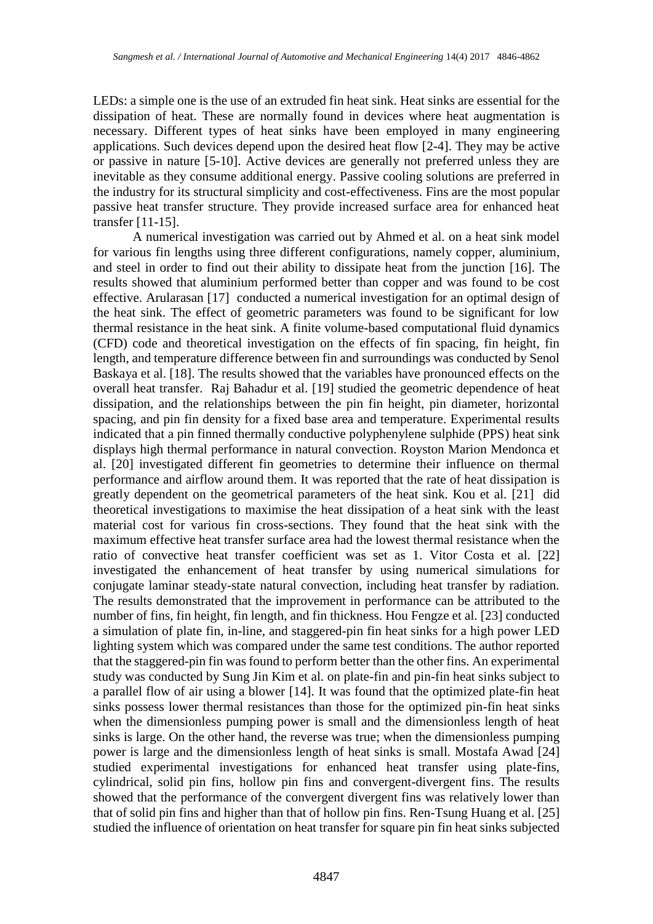LEDs: a simple one is the use of an extruded fin heat sink. Heat sinks are essential for the dissipation of heat. These are normally found in devices where heat augmentation is necessary. Different types of heat sinks have been employed in many engineering applications. Such devices depend upon the desired heat flow [\[2-4\]](#page-13-1). They may be active or passive in nature [\[5-10\]](#page-13-2). Active devices are generally not preferred unless they are inevitable as they consume additional energy. Passive cooling solutions are preferred in the industry for its structural simplicity and cost-effectiveness. Fins are the most popular passive heat transfer structure. They provide increased surface area for enhanced heat transfer [\[11-15\]](#page-14-0).

A numerical investigation was carried out by Ahmed et al. on a heat sink model for various fin lengths using three different configurations, namely copper, aluminium, and steel in order to find out their ability to dissipate heat from the junction [\[16\]](#page-14-1). The results showed that aluminium performed better than copper and was found to be cost effective. Arularasan [\[17\]](#page-14-2) conducted a numerical investigation for an optimal design of the heat sink. The effect of geometric parameters was found to be significant for low thermal resistance in the heat sink. A finite volume-based computational fluid dynamics (CFD) code and theoretical investigation on the effects of fin spacing, fin height, fin length, and temperature difference between fin and surroundings was conducted by Senol Baskaya et al. [\[18\]](#page-14-3). The results showed that the variables have pronounced effects on the overall heat transfer. Raj Bahadur et al. [\[19\]](#page-14-4) studied the geometric dependence of heat dissipation, and the relationships between the pin fin height, pin diameter, horizontal spacing, and pin fin density for a fixed base area and temperature. Experimental results indicated that a pin finned thermally conductive polyphenylene sulphide (PPS) heat sink displays high thermal performance in natural convection. Royston Marion Mendonca et al. [\[20\]](#page-14-5) investigated different fin geometries to determine their influence on thermal performance and airflow around them. It was reported that the rate of heat dissipation is greatly dependent on the geometrical parameters of the heat sink. Kou et al. [\[21\]](#page-14-6) did theoretical investigations to maximise the heat dissipation of a heat sink with the least material cost for various fin cross-sections. They found that the heat sink with the maximum effective heat transfer surface area had the lowest thermal resistance when the ratio of convective heat transfer coefficient was set as 1. Vitor Costa et al. [\[22\]](#page-14-7) investigated the enhancement of heat transfer by using numerical simulations for conjugate laminar steady-state natural convection, including heat transfer by radiation. The results demonstrated that the improvement in performance can be attributed to the number of fins, fin height, fin length, and fin thickness. Hou Fengze et al. [\[23\]](#page-14-8) conducted a simulation of plate fin, in-line, and staggered-pin fin heat sinks for a high power LED lighting system which was compared under the same test conditions. The author reported that the staggered-pin fin was found to perform better than the other fins. An experimental study was conducted by Sung Jin Kim et al. on plate-fin and pin-fin heat sinks subject to a parallel flow of air using a blower [\[14\]](#page-14-9). It was found that the optimized plate-fin heat sinks possess lower thermal resistances than those for the optimized pin-fin heat sinks when the dimensionless pumping power is small and the dimensionless length of heat sinks is large. On the other hand, the reverse was true; when the dimensionless pumping power is large and the dimensionless length of heat sinks is small. Mostafa Awad [\[24\]](#page-14-10) studied experimental investigations for enhanced heat transfer using plate-fins, cylindrical, solid pin fins, hollow pin fins and convergent-divergent fins. The results showed that the performance of the convergent divergent fins was relatively lower than that of solid pin fins and higher than that of hollow pin fins. Ren-Tsung Huang et al. [\[25\]](#page-14-11) studied the influence of orientation on heat transfer for square pin fin heat sinks subjected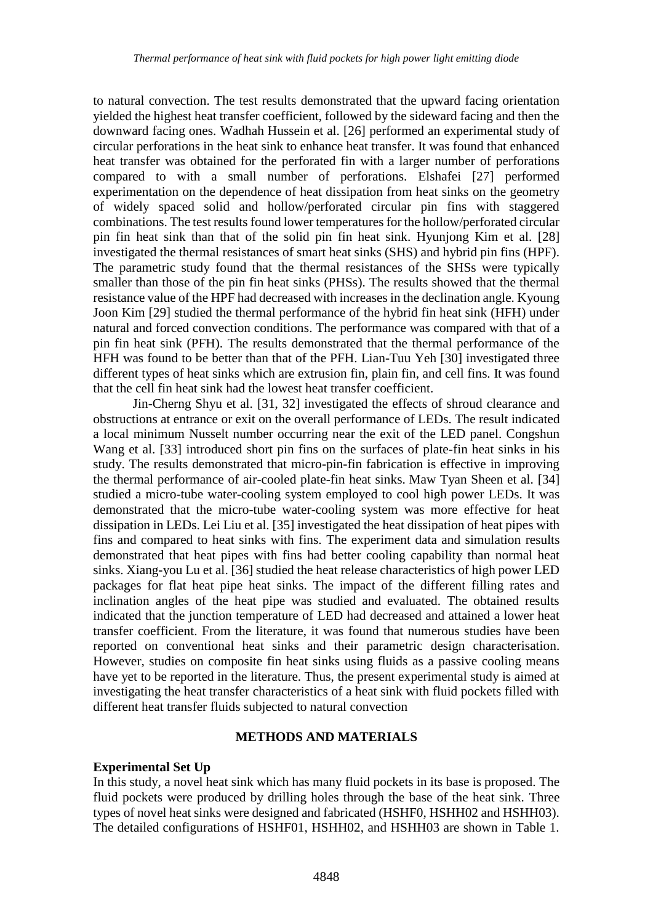to natural convection. The test results demonstrated that the upward facing orientation yielded the highest heat transfer coefficient, followed by the sideward facing and then the downward facing ones. Wadhah Hussein et al. [\[26\]](#page-15-0) performed an experimental study of circular perforations in the heat sink to enhance heat transfer. It was found that enhanced heat transfer was obtained for the perforated fin with a larger number of perforations compared to with a small number of perforations. Elshafei [\[27\]](#page-15-1) performed experimentation on the dependence of heat dissipation from heat sinks on the geometry of widely spaced solid and hollow/perforated circular pin fins with staggered combinations. The test results found lower temperatures for the hollow/perforated circular pin fin heat sink than that of the solid pin fin heat sink. Hyunjong Kim et al. [\[28\]](#page-15-2) investigated the thermal resistances of smart heat sinks (SHS) and hybrid pin fins (HPF). The parametric study found that the thermal resistances of the SHSs were typically smaller than those of the pin fin heat sinks (PHSs). The results showed that the thermal resistance value of the HPF had decreased with increases in the declination angle. Kyoung Joon Kim [\[29\]](#page-15-3) studied the thermal performance of the hybrid fin heat sink (HFH) under natural and forced convection conditions. The performance was compared with that of a pin fin heat sink (PFH). The results demonstrated that the thermal performance of the HFH was found to be better than that of the PFH. Lian-Tuu Yeh [\[30\]](#page-15-4) investigated three different types of heat sinks which are extrusion fin, plain fin, and cell fins. It was found that the cell fin heat sink had the lowest heat transfer coefficient.

Jin-Cherng Shyu et al. [\[31,](#page-15-5) [32\]](#page-15-6) investigated the effects of shroud clearance and obstructions at entrance or exit on the overall performance of LEDs. The result indicated a local minimum Nusselt number occurring near the exit of the LED panel. Congshun Wang et al. [\[33\]](#page-15-7) introduced short pin fins on the surfaces of plate-fin heat sinks in his study. The results demonstrated that micro-pin-fin fabrication is effective in improving the thermal performance of air-cooled plate-fin heat sinks. Maw Tyan Sheen et al. [\[34\]](#page-15-8) studied a micro-tube water-cooling system employed to cool high power LEDs. It was demonstrated that the micro-tube water-cooling system was more effective for heat dissipation in LEDs. Lei Liu et al. [\[35\]](#page-15-9) investigated the heat dissipation of heat pipes with fins and compared to heat sinks with fins. The experiment data and simulation results demonstrated that heat pipes with fins had better cooling capability than normal heat sinks. Xiang-you Lu et al. [\[36\]](#page-15-10) studied the heat release characteristics of high power LED packages for flat heat pipe heat sinks. The impact of the different filling rates and inclination angles of the heat pipe was studied and evaluated. The obtained results indicated that the junction temperature of LED had decreased and attained a lower heat transfer coefficient. From the literature, it was found that numerous studies have been reported on conventional heat sinks and their parametric design characterisation. However, studies on composite fin heat sinks using fluids as a passive cooling means have yet to be reported in the literature. Thus, the present experimental study is aimed at investigating the heat transfer characteristics of a heat sink with fluid pockets filled with different heat transfer fluids subjected to natural convection

#### **METHODS AND MATERIALS**

#### **Experimental Set Up**

In this study, a novel heat sink which has many fluid pockets in its base is proposed. The fluid pockets were produced by drilling holes through the base of the heat sink. Three types of novel heat sinks were designed and fabricated (HSHF0, HSHH02 and HSHH03). The detailed configurations of HSHF01, HSHH02, and HSHH03 are shown in Table 1.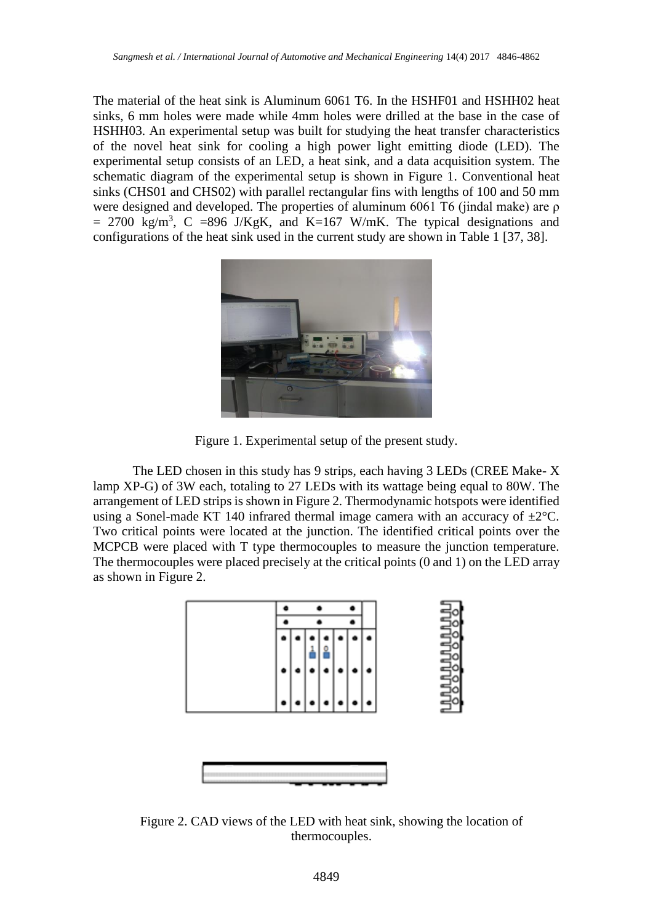The material of the heat sink is Aluminum 6061 T6. In the HSHF01 and HSHH02 heat sinks, 6 mm holes were made while 4mm holes were drilled at the base in the case of HSHH03. An experimental setup was built for studying the heat transfer characteristics of the novel heat sink for cooling a high power light emitting diode (LED). The experimental setup consists of an LED, a heat sink, and a data acquisition system. The schematic diagram of the experimental setup is shown in Figure 1. Conventional heat sinks (CHS01 and CHS02) with parallel rectangular fins with lengths of 100 and 50 mm were designed and developed. The properties of aluminum 6061 T6 (jindal make) are ρ  $= 2700 \text{ kg/m}^3$ , C =896 J/KgK, and K=167 W/mK. The typical designations and configurations of the heat sink used in the current study are shown in Table 1 [\[37,](#page-15-11) [38\]](#page-15-12).



Figure 1. Experimental setup of the present study.

The LED chosen in this study has 9 strips, each having 3 LEDs (CREE Make- X lamp XP-G) of 3W each, totaling to 27 LEDs with its wattage being equal to 80W. The arrangement of LED strips is shown in Figure 2. Thermodynamic hotspots were identified using a Sonel-made KT 140 infrared thermal image camera with an accuracy of  $\pm 2^{\circ}$ C. Two critical points were located at the junction. The identified critical points over the MCPCB were placed with T type thermocouples to measure the junction temperature. The thermocouples were placed precisely at the critical points (0 and 1) on the LED array as shown in Figure 2.



Figure 2. CAD views of the LED with heat sink, showing the location of thermocouples.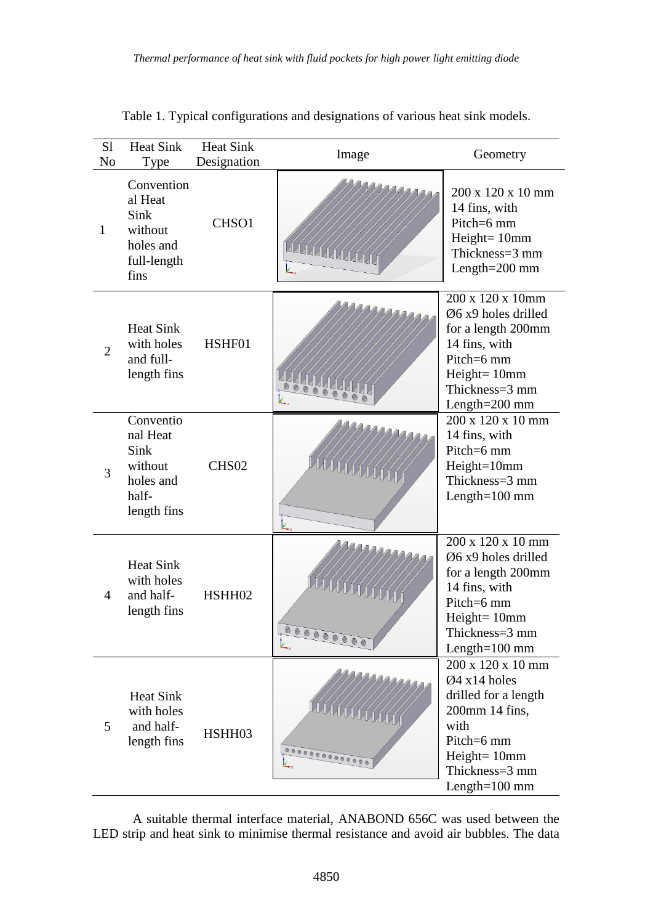| S <sub>1</sub><br>No | <b>Heat Sink</b><br>Type                                                      | <b>Heat Sink</b><br>Designation | Image          | Geometry                                                                                                                                                             |
|----------------------|-------------------------------------------------------------------------------|---------------------------------|----------------|----------------------------------------------------------------------------------------------------------------------------------------------------------------------|
| 1                    | Convention<br>al Heat<br>Sink<br>without<br>holes and<br>full-length<br>fins  | CHSO1                           |                | 200 x 120 x 10 mm<br>14 fins, with<br>Pitch=6 mm<br>Height= $10mm$<br>Thickness=3 mm<br>Length= $200$ mm                                                             |
| $\overline{2}$       | <b>Heat Sink</b><br>with holes<br>and full-<br>length fins                    | HSHF01                          |                | 200 x 120 x 10mm<br>$\varnothing$ 6 x9 holes drilled<br>for a length 200mm<br>14 fins, with<br>Pitch=6 mm<br>$Height = 10$ mm<br>Thickness=3 mm<br>Length= $200$ mm  |
| 3                    | Conventio<br>nal Heat<br>Sink<br>without<br>holes and<br>half-<br>length fins | CHS <sub>02</sub>               |                | 200 x 120 x 10 mm<br>14 fins, with<br>Pitch=6 mm<br>$Height=10$ mm<br>Thickness=3 mm<br>Length= $100$ mm                                                             |
| 4                    | <b>Heat Sink</b><br>with holes<br>and half-<br>length fins                    | HSHH02                          | 00000000<br>Ł, | 200 x 120 x 10 mm<br>$\varnothing$ 6 x9 holes drilled<br>for a length 200mm<br>14 fins, with<br>Pitch=6 mm<br>$Height = 10$ mm<br>Thickness=3 mm<br>Length= $100$ mm |
| 5                    | <b>Heat Sink</b><br>with holes<br>and half-<br>length fins                    | HSHH03                          |                | 200 x 120 x 10 mm<br>$Ø4x14$ holes<br>drilled for a length<br>200mm 14 fins,<br>with<br>Pitch=6 mm<br>$Height = 10$ mm<br>Thickness=3 mm<br>Length= $100$ mm         |

Table 1. Typical configurations and designations of various heat sink models.

A suitable thermal interface material, ANABOND 656C was used between the LED strip and heat sink to minimise thermal resistance and avoid air bubbles. The data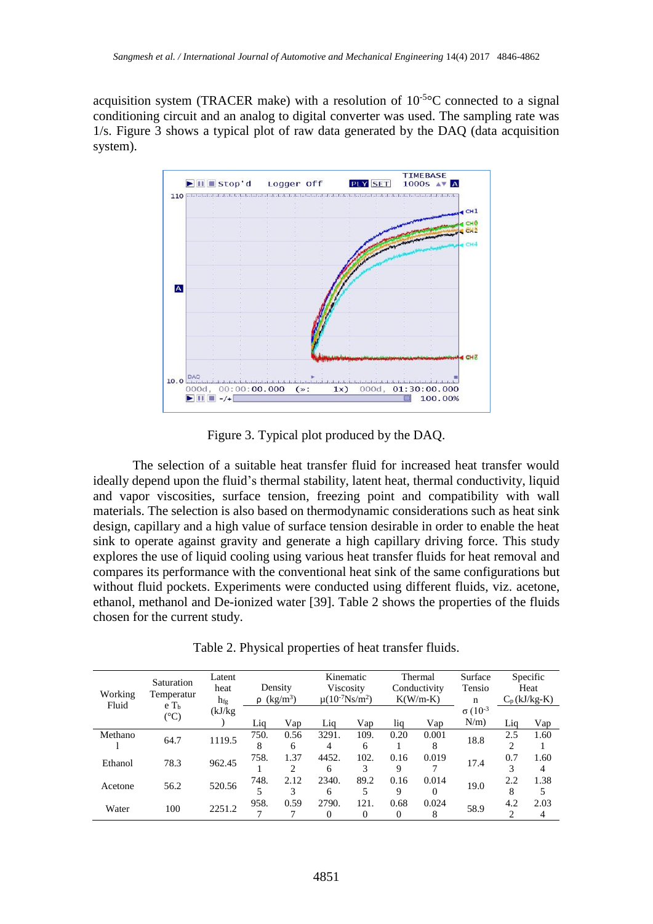acquisition system (TRACER make) with a resolution of  $10^{-5}$ °C connected to a signal conditioning circuit and an analog to digital converter was used. The sampling rate was 1/s. Figure 3 shows a typical plot of raw data generated by the DAQ (data acquisition system).



Figure 3. Typical plot produced by the DAQ.

The selection of a suitable heat transfer fluid for increased heat transfer would ideally depend upon the fluid's thermal stability, latent heat, thermal conductivity, liquid and vapor viscosities, surface tension, freezing point and compatibility with wall materials. The selection is also based on thermodynamic considerations such as heat sink design, capillary and a high value of surface tension desirable in order to enable the heat sink to operate against gravity and generate a high capillary driving force. This study explores the use of liquid cooling using various heat transfer fluids for heat removal and compares its performance with the conventional heat sink of the same configurations but without fluid pockets. Experiments were conducted using different fluids, viz. acetone, ethanol, methanol and De-ionized water [\[39\]](#page-15-13). Table 2 shows the properties of the fluids chosen for the current study.

| Working<br>Fluid | Latent<br>Saturation<br>heat<br>Temperatur<br>h <sub>fg</sub><br>eT <sub>b</sub> |         | Density<br>$\rho$ (kg/m <sup>3</sup> ) |           | Kinematic<br><b>Viscosity</b><br>$\mu(10^{-7}Ns/m^2)$ |                  | Thermal<br>Conductivity<br>$K(W/m-K)$ |                   | Surface<br>Tensio<br>n  | Specific<br>Heat<br>$C_p(kJ/kg-K)$ |           |
|------------------|----------------------------------------------------------------------------------|---------|----------------------------------------|-----------|-------------------------------------------------------|------------------|---------------------------------------|-------------------|-------------------------|------------------------------------|-----------|
|                  | $(^\circ\mathrm{C})$                                                             | (kJ/kg) | Liq                                    | Vap       | Liq                                                   | Vap              | liq                                   | Vap               | $σ(10^{-3})$<br>$N/m$ ) | Lia                                | Vap       |
| Methano          | 64.7                                                                             | 1119.5  | 750.<br>8                              | 0.56<br>6 | 3291.<br>4                                            | 109.<br>6        | 0.20                                  | 0.001<br>8        | 18.8                    | 2.5<br>◠                           | 1.60      |
| Ethanol          | 78.3                                                                             | 962.45  | 758.                                   | 1.37<br>2 | 4452.<br>6                                            | 102.<br>3        | 0.16<br>9                             | 0.019             | 17.4                    | 0.7<br>3                           | 1.60<br>4 |
| Acetone          | 56.2                                                                             | 520.56  | 748.                                   | 2.12<br>3 | 2340.<br>6                                            | 89.2<br>5        | 0.16<br>9                             | 0.014<br>$\Omega$ | 19.0                    | 2.2<br>8                           | 1.38<br>5 |
| Water            | 100                                                                              | 2251.2  | 958.<br>⇁                              | 0.59      | 2790.<br>$\Omega$                                     | 121.<br>$\Omega$ | 0.68<br>0                             | 0.024<br>8        | 58.9                    | 4.2<br>◠                           | 2.03<br>4 |

Table 2. Physical properties of heat transfer fluids.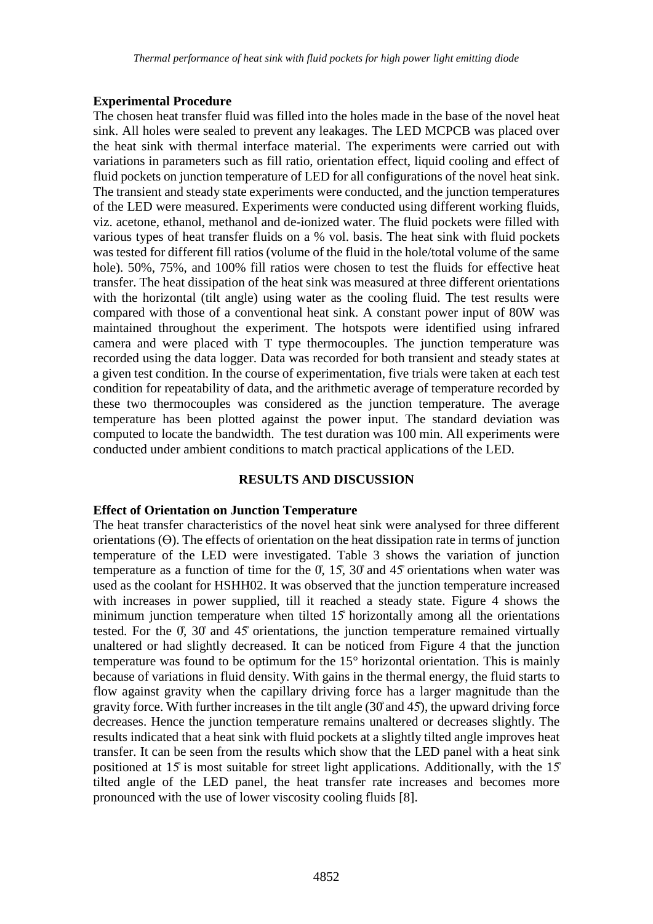### **Experimental Procedure**

The chosen heat transfer fluid was filled into the holes made in the base of the novel heat sink. All holes were sealed to prevent any leakages. The LED MCPCB was placed over the heat sink with thermal interface material. The experiments were carried out with variations in parameters such as fill ratio, orientation effect, liquid cooling and effect of fluid pockets on junction temperature of LED for all configurations of the novel heat sink. The transient and steady state experiments were conducted, and the junction temperatures of the LED were measured. Experiments were conducted using different working fluids, viz. acetone, ethanol, methanol and de-ionized water. The fluid pockets were filled with various types of heat transfer fluids on a % vol. basis. The heat sink with fluid pockets was tested for different fill ratios (volume of the fluid in the hole/total volume of the same hole). 50%, 75%, and 100% fill ratios were chosen to test the fluids for effective heat transfer. The heat dissipation of the heat sink was measured at three different orientations with the horizontal (tilt angle) using water as the cooling fluid. The test results were compared with those of a conventional heat sink. A constant power input of 80W was maintained throughout the experiment. The hotspots were identified using infrared camera and were placed with T type thermocouples. The junction temperature was recorded using the data logger. Data was recorded for both transient and steady states at a given test condition. In the course of experimentation, five trials were taken at each test condition for repeatability of data, and the arithmetic average of temperature recorded by these two thermocouples was considered as the junction temperature. The average temperature has been plotted against the power input. The standard deviation was computed to locate the bandwidth. The test duration was 100 min. All experiments were conducted under ambient conditions to match practical applications of the LED.

#### **RESULTS AND DISCUSSION**

#### **Effect of Orientation on Junction Temperature**

The heat transfer characteristics of the novel heat sink were analysed for three different orientations  $(\Theta)$ . The effects of orientation on the heat dissipation rate in terms of junction temperature of the LED were investigated. Table 3 shows the variation of junction temperature as a function of time for the  $0, 15, 30$  and  $45$  orientations when water was used as the coolant for HSHH02. It was observed that the junction temperature increased with increases in power supplied, till it reached a steady state. Figure 4 shows the minimum junction temperature when tilted 15̊ horizontally among all the orientations tested. For the  $0$ ,  $30^\circ$  and  $45^\circ$  orientations, the junction temperature remained virtually unaltered or had slightly decreased. It can be noticed from Figure 4 that the junction temperature was found to be optimum for the 15° horizontal orientation. This is mainly because of variations in fluid density. With gains in the thermal energy, the fluid starts to flow against gravity when the capillary driving force has a larger magnitude than the gravity force. With further increases in the tilt angle  $(30° \text{ and } 45°)$ , the upward driving force decreases. Hence the junction temperature remains unaltered or decreases slightly. The results indicated that a heat sink with fluid pockets at a slightly tilted angle improves heat transfer. It can be seen from the results which show that the LED panel with a heat sink positioned at 15 is most suitable for street light applications. Additionally, with the  $15^\circ$ tilted angle of the LED panel, the heat transfer rate increases and becomes more pronounced with the use of lower viscosity cooling fluids [8].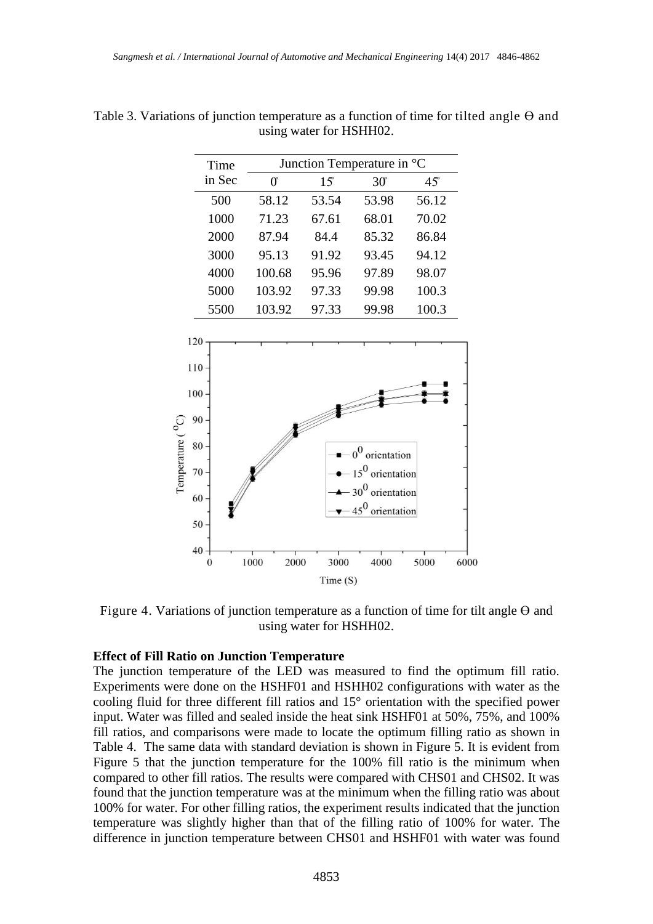| Time                 |                             |                      | Junction Temperature in °C |                      |
|----------------------|-----------------------------|----------------------|----------------------------|----------------------|
| in Sec               | O                           | 15°                  | $30^\circ$                 | $45^\circ$           |
| 500                  | 58.12                       | 53.54                | 53.98                      | 56.12                |
| 1000                 | 71.23                       | 67.61                | 68.01                      | 70.02                |
| 2000                 | 87.94                       | 84.4                 | 85.32                      | 86.84                |
| 3000                 | 95.13                       | 91.92                | 93.45                      | 94.12                |
| 4000                 | 100.68                      | 95.96                | 97.89                      | 98.07                |
| 5000                 | 103.92                      | 97.33                | 99.98                      | 100.3                |
| $\sim$ $\sim$ $\sim$ | $\sim$ $\sim$ $\sim$ $\sim$ | $\sim$ $\sim$ $\sim$ | $\sim$ $\sim$ $\sim$       | $\sim$ $\sim$ $\sim$ |

Table 3. Variations of junction temperature as a function of time for tilted angle  $\Theta$  and using water for HSHH02.



Figure 4. Variations of junction temperature as a function of time for tilt angle  $\Theta$  and using water for HSHH02.

#### **Effect of Fill Ratio on Junction Temperature**

The junction temperature of the LED was measured to find the optimum fill ratio. Experiments were done on the HSHF01 and HSHH02 configurations with water as the cooling fluid for three different fill ratios and 15° orientation with the specified power input. Water was filled and sealed inside the heat sink HSHF01 at 50%, 75%, and 100% fill ratios, and comparisons were made to locate the optimum filling ratio as shown in Table 4. The same data with standard deviation is shown in Figure 5. It is evident from Figure 5 that the junction temperature for the 100% fill ratio is the minimum when compared to other fill ratios. The results were compared with CHS01 and CHS02. It was found that the junction temperature was at the minimum when the filling ratio was about 100% for water. For other filling ratios, the experiment results indicated that the junction temperature was slightly higher than that of the filling ratio of 100% for water. The difference in junction temperature between CHS01 and HSHF01 with water was found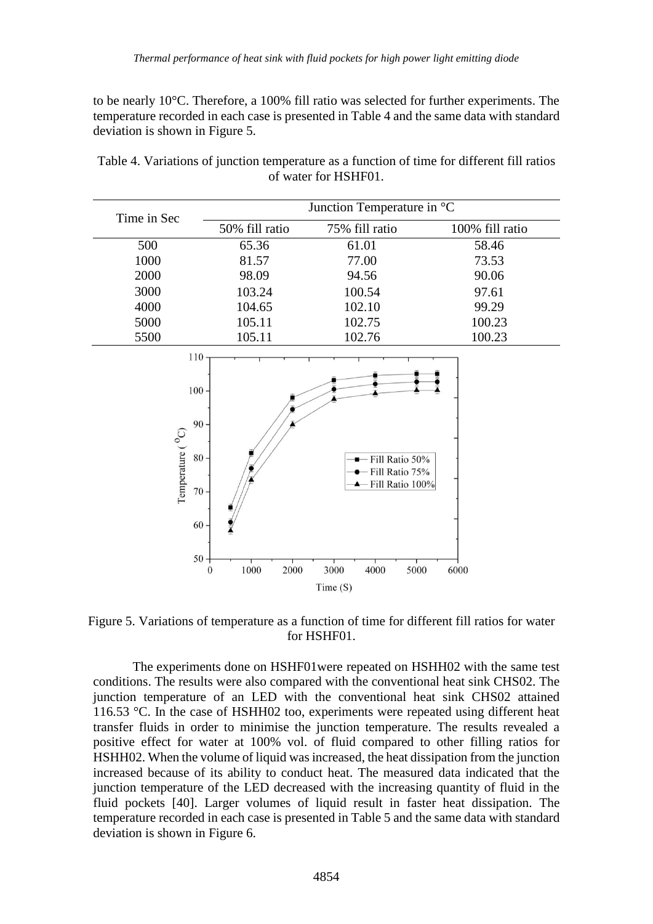to be nearly 10°C. Therefore, a 100% fill ratio was selected for further experiments. The temperature recorded in each case is presented in Table 4 and the same data with standard deviation is shown in Figure 5.

| Time in Sec                                                        |                | Junction Temperature in °C            |                 |
|--------------------------------------------------------------------|----------------|---------------------------------------|-----------------|
|                                                                    | 50% fill ratio | 75% fill ratio                        | 100% fill ratio |
| 500                                                                | 65.36          | 61.01                                 | 58.46           |
| 1000                                                               | 81.57          | 77.00                                 | 73.53           |
| 2000                                                               | 98.09          | 94.56                                 | 90.06           |
| 3000                                                               | 103.24         | 100.54                                | 97.61           |
| 4000                                                               | 104.65         | 102.10                                | 99.29           |
| 5000                                                               | 105.11         | 102.75                                | 100.23          |
| 5500                                                               | 105.11         | 102.76                                | 100.23          |
| 110<br>$100 -$<br>$90 -$<br>erature ( $^{\rm O}{\rm C})$<br>$80 -$ |                | $-$ Fill Ratio 50%<br>-Fill Ratio 75% |                 |

Table 4. Variations of junction temperature as a function of time for different fill ratios of water for HSHF01.



Figure 5. Variations of temperature as a function of time for different fill ratios for water for HSHF01.

The experiments done on HSHF01were repeated on HSHH02 with the same test conditions. The results were also compared with the conventional heat sink CHS02. The junction temperature of an LED with the conventional heat sink CHS02 attained 116.53 °C. In the case of HSHH02 too, experiments were repeated using different heat transfer fluids in order to minimise the junction temperature. The results revealed a positive effect for water at 100% vol. of fluid compared to other filling ratios for HSHH02. When the volume of liquid was increased, the heat dissipation from the junction increased because of its ability to conduct heat. The measured data indicated that the junction temperature of the LED decreased with the increasing quantity of fluid in the fluid pockets [\[40\]](#page-16-0). Larger volumes of liquid result in faster heat dissipation. The temperature recorded in each case is presented in Table 5 and the same data with standard deviation is shown in Figure 6.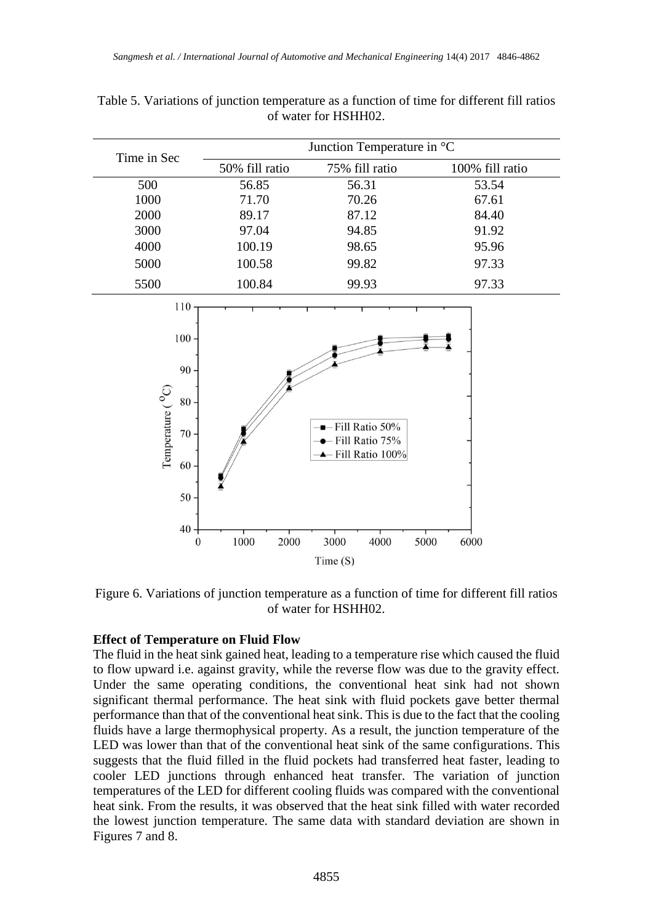| Time in Sec |                | Junction Temperature in $^{\circ}C$ |                 |
|-------------|----------------|-------------------------------------|-----------------|
|             | 50% fill ratio | 75% fill ratio                      | 100% fill ratio |
| 500         | 56.85          | 56.31                               | 53.54           |
| 1000        | 71.70          | 70.26                               | 67.61           |
| 2000        | 89.17          | 87.12                               | 84.40           |
| 3000        | 97.04          | 94.85                               | 91.92           |
| 4000        | 100.19         | 98.65                               | 95.96           |
| 5000        | 100.58         | 99.82                               | 97.33           |
| 5500        | 100.84         | 99.93                               | 97.33           |

Table 5. Variations of junction temperature as a function of time for different fill ratios of water for HSHH02.



Figure 6. Variations of junction temperature as a function of time for different fill ratios of water for HSHH02.

#### **Effect of Temperature on Fluid Flow**

The fluid in the heat sink gained heat, leading to a temperature rise which caused the fluid to flow upward i.e. against gravity, while the reverse flow was due to the gravity effect. Under the same operating conditions, the conventional heat sink had not shown significant thermal performance. The heat sink with fluid pockets gave better thermal performance than that of the conventional heat sink. This is due to the fact that the cooling fluids have a large thermophysical property. As a result, the junction temperature of the LED was lower than that of the conventional heat sink of the same configurations. This suggests that the fluid filled in the fluid pockets had transferred heat faster, leading to cooler LED junctions through enhanced heat transfer. The variation of junction temperatures of the LED for different cooling fluids was compared with the conventional heat sink. From the results, it was observed that the heat sink filled with water recorded the lowest junction temperature. The same data with standard deviation are shown in Figures 7 and 8.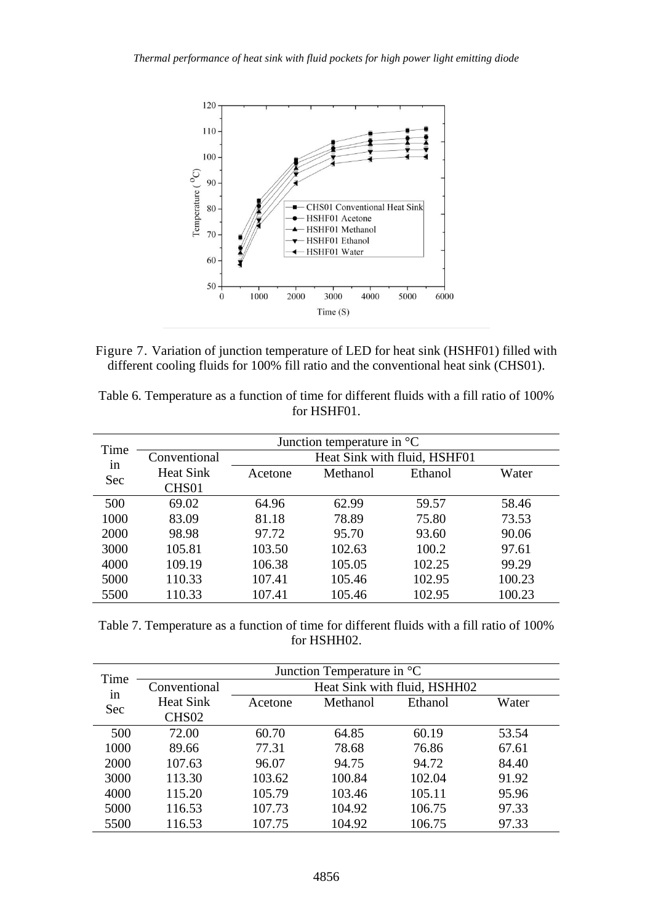

Figure 7. Variation of junction temperature of LED for heat sink (HSHF01) filled with different cooling fluids for 100% fill ratio and the conventional heat sink (CHS01).

|             | Table 6. Temperature as a function of time for different fluids with a fill ratio of 100% |  |  |  |  |  |  |  |  |  |  |  |
|-------------|-------------------------------------------------------------------------------------------|--|--|--|--|--|--|--|--|--|--|--|
| for HSHF01. |                                                                                           |  |  |  |  |  |  |  |  |  |  |  |

| Time | Junction temperature in $\mathrm{C}$         |         |          |         |        |  |  |
|------|----------------------------------------------|---------|----------|---------|--------|--|--|
| in   | Heat Sink with fluid, HSHF01<br>Conventional |         |          |         |        |  |  |
| Sec  | <b>Heat Sink</b>                             | Acetone | Methanol | Ethanol | Water  |  |  |
|      | CHS <sub>01</sub>                            |         |          |         |        |  |  |
| 500  | 69.02                                        | 64.96   | 62.99    | 59.57   | 58.46  |  |  |
| 1000 | 83.09                                        | 81.18   | 78.89    | 75.80   | 73.53  |  |  |
| 2000 | 98.98                                        | 97.72   | 95.70    | 93.60   | 90.06  |  |  |
| 3000 | 105.81                                       | 103.50  | 102.63   | 100.2   | 97.61  |  |  |
| 4000 | 109.19                                       | 106.38  | 105.05   | 102.25  | 99.29  |  |  |
| 5000 | 110.33                                       | 107.41  | 105.46   | 102.95  | 100.23 |  |  |
| 5500 | 110.33                                       | 107.41  | 105.46   | 102.95  | 100.23 |  |  |
|      |                                              |         |          |         |        |  |  |

Table 7. Temperature as a function of time for different fluids with a fill ratio of 100% for HSHH02.

| Time | Junction Temperature in $^{\circ}C$ |         |          |                              |       |  |  |
|------|-------------------------------------|---------|----------|------------------------------|-------|--|--|
| in   | Conventional                        |         |          | Heat Sink with fluid, HSHH02 |       |  |  |
| Sec  | Heat Sink                           | Acetone | Methanol | Ethanol                      | Water |  |  |
|      | CHS <sub>02</sub>                   |         |          |                              |       |  |  |
| 500  | 72.00                               | 60.70   | 64.85    | 60.19                        | 53.54 |  |  |
| 1000 | 89.66                               | 77.31   | 78.68    | 76.86                        | 67.61 |  |  |
| 2000 | 107.63                              | 96.07   | 94.75    | 94.72                        | 84.40 |  |  |
| 3000 | 113.30                              | 103.62  | 100.84   | 102.04                       | 91.92 |  |  |
| 4000 | 115.20                              | 105.79  | 103.46   | 105.11                       | 95.96 |  |  |
| 5000 | 116.53                              | 107.73  | 104.92   | 106.75                       | 97.33 |  |  |
| 5500 | 116.53                              | 107.75  | 104.92   | 106.75                       | 97.33 |  |  |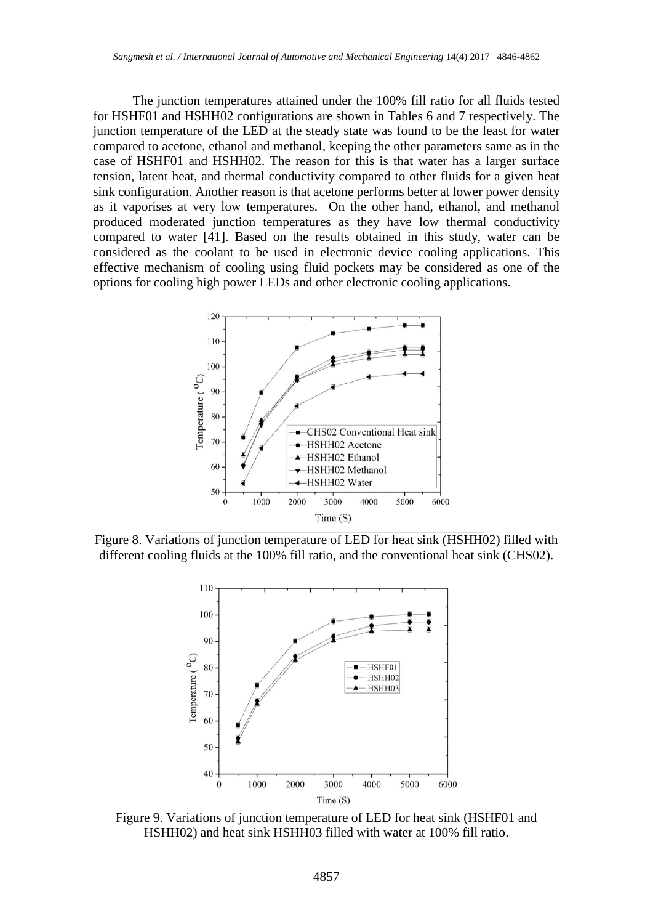The junction temperatures attained under the 100% fill ratio for all fluids tested for HSHF01 and HSHH02 configurations are shown in Tables 6 and 7 respectively. The junction temperature of the LED at the steady state was found to be the least for water compared to acetone, ethanol and methanol, keeping the other parameters same as in the case of HSHF01 and HSHH02. The reason for this is that water has a larger surface tension, latent heat, and thermal conductivity compared to other fluids for a given heat sink configuration. Another reason is that acetone performs better at lower power density as it vaporises at very low temperatures. On the other hand, ethanol, and methanol produced moderated junction temperatures as they have low thermal conductivity compared to water [\[41\]](#page-16-1). Based on the results obtained in this study, water can be considered as the coolant to be used in electronic device cooling applications. This effective mechanism of cooling using fluid pockets may be considered as one of the options for cooling high power LEDs and other electronic cooling applications.



Figure 8. Variations of junction temperature of LED for heat sink (HSHH02) filled with different cooling fluids at the 100% fill ratio, and the conventional heat sink (CHS02).



Figure 9. Variations of junction temperature of LED for heat sink (HSHF01 and HSHH02) and heat sink HSHH03 filled with water at 100% fill ratio.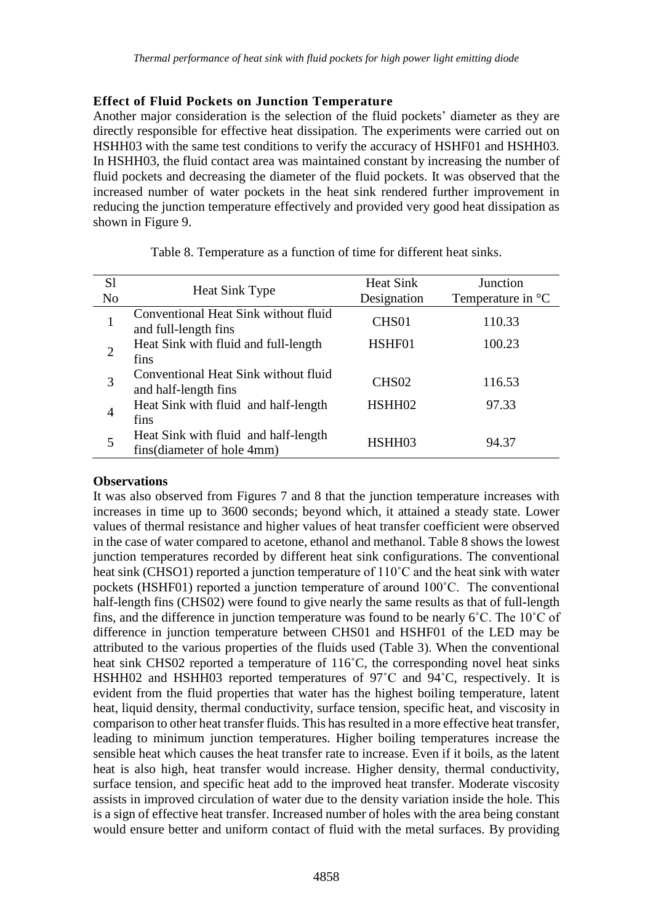### **Effect of Fluid Pockets on Junction Temperature**

Another major consideration is the selection of the fluid pockets' diameter as they are directly responsible for effective heat dissipation. The experiments were carried out on HSHH03 with the same test conditions to verify the accuracy of HSHF01 and HSHH03. In HSHH03, the fluid contact area was maintained constant by increasing the number of fluid pockets and decreasing the diameter of the fluid pockets. It was observed that the increased number of water pockets in the heat sink rendered further improvement in reducing the junction temperature effectively and provided very good heat dissipation as shown in Figure 9.

| S <sub>1</sub><br>N <sub>o</sub> | Heat Sink Type                                                     | <b>Heat Sink</b><br>Designation | Junction<br>Temperature in $\mathrm{C}$ |
|----------------------------------|--------------------------------------------------------------------|---------------------------------|-----------------------------------------|
| 1                                | Conventional Heat Sink without fluid<br>and full-length fins       | CHS <sub>01</sub>               | 110.33                                  |
| 2                                | Heat Sink with fluid and full-length<br>fins                       | HSHF01                          | 100.23                                  |
| 3                                | Conventional Heat Sink without fluid<br>and half-length fins       | CHS <sub>02</sub>               | 116.53                                  |
| 4                                | Heat Sink with fluid and half-length<br>fins                       | HSHH02                          | 97.33                                   |
| 5                                | Heat Sink with fluid and half-length<br>fins(diameter of hole 4mm) | HSHH03                          | 94.37                                   |

Table 8. Temperature as a function of time for different heat sinks.

### **Observations**

It was also observed from Figures 7 and 8 that the junction temperature increases with increases in time up to 3600 seconds; beyond which, it attained a steady state. Lower values of thermal resistance and higher values of heat transfer coefficient were observed in the case of water compared to acetone, ethanol and methanol. Table 8 shows the lowest junction temperatures recorded by different heat sink configurations. The conventional heat sink (CHSO1) reported a junction temperature of 110<sup>°</sup>C and the heat sink with water pockets (HSHF01) reported a junction temperature of around 100˚C. The conventional half-length fins (CHS02) were found to give nearly the same results as that of full-length fins, and the difference in junction temperature was found to be nearly 6˚C. The 10˚C of difference in junction temperature between CHS01 and HSHF01 of the LED may be attributed to the various properties of the fluids used (Table 3). When the conventional heat sink CHS02 reported a temperature of 116˚C, the corresponding novel heat sinks HSHH02 and HSHH03 reported temperatures of 97˚C and 94˚C, respectively. It is evident from the fluid properties that water has the highest boiling temperature, latent heat, liquid density, thermal conductivity, surface tension, specific heat, and viscosity in comparison to other heat transfer fluids. This has resulted in a more effective heat transfer, leading to minimum junction temperatures. Higher boiling temperatures increase the sensible heat which causes the heat transfer rate to increase. Even if it boils, as the latent heat is also high, heat transfer would increase. Higher density, thermal conductivity, surface tension, and specific heat add to the improved heat transfer. Moderate viscosity assists in improved circulation of water due to the density variation inside the hole. This is a sign of effective heat transfer. Increased number of holes with the area being constant would ensure better and uniform contact of fluid with the metal surfaces. By providing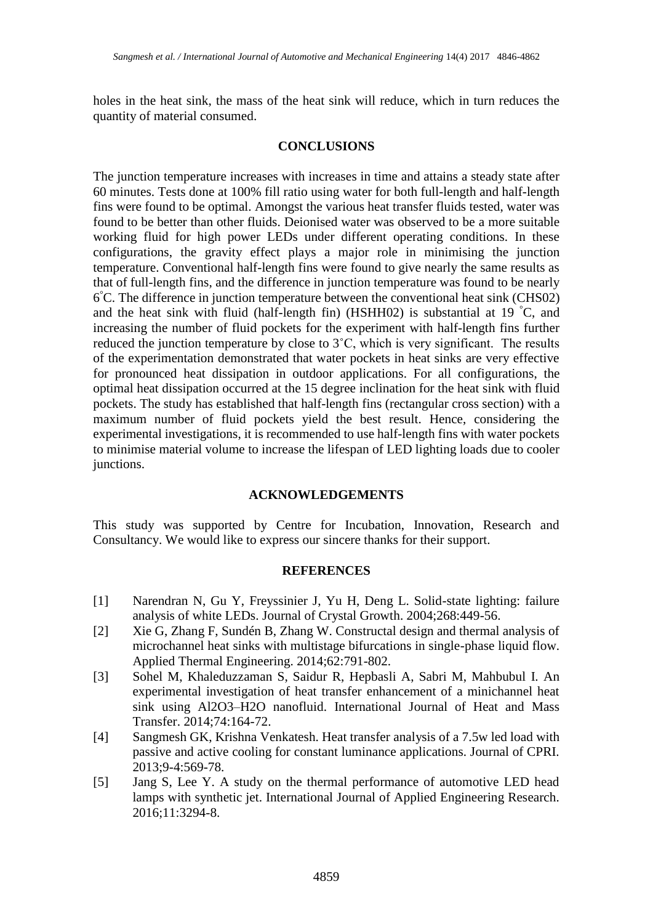holes in the heat sink, the mass of the heat sink will reduce, which in turn reduces the quantity of material consumed.

#### **CONCLUSIONS**

The junction temperature increases with increases in time and attains a steady state after 60 minutes. Tests done at 100% fill ratio using water for both full-length and half-length fins were found to be optimal. Amongst the various heat transfer fluids tested, water was found to be better than other fluids. Deionised water was observed to be a more suitable working fluid for high power LEDs under different operating conditions. In these configurations, the gravity effect plays a major role in minimising the junction temperature. Conventional half-length fins were found to give nearly the same results as that of full-length fins, and the difference in junction temperature was found to be nearly 6 °C. The difference in junction temperature between the conventional heat sink (CHS02) and the heat sink with fluid (half-length fin) (HSHH02) is substantial at 19 °C, and increasing the number of fluid pockets for the experiment with half-length fins further reduced the junction temperature by close to 3˚C, which is very significant. The results of the experimentation demonstrated that water pockets in heat sinks are very effective for pronounced heat dissipation in outdoor applications. For all configurations, the optimal heat dissipation occurred at the 15 degree inclination for the heat sink with fluid pockets. The study has established that half-length fins (rectangular cross section) with a maximum number of fluid pockets yield the best result. Hence, considering the experimental investigations, it is recommended to use half-length fins with water pockets to minimise material volume to increase the lifespan of LED lighting loads due to cooler junctions.

### **ACKNOWLEDGEMENTS**

This study was supported by Centre for Incubation, Innovation, Research and Consultancy. We would like to express our sincere thanks for their support.

#### **REFERENCES**

- <span id="page-13-0"></span>[1] Narendran N, Gu Y, Freyssinier J, Yu H, Deng L. Solid-state lighting: failure analysis of white LEDs. Journal of Crystal Growth. 2004;268:449-56.
- <span id="page-13-1"></span>[2] Xie G, Zhang F, Sundén B, Zhang W. Constructal design and thermal analysis of microchannel heat sinks with multistage bifurcations in single-phase liquid flow. Applied Thermal Engineering. 2014;62:791-802.
- [3] Sohel M, Khaleduzzaman S, Saidur R, Hepbasli A, Sabri M, Mahbubul I. An experimental investigation of heat transfer enhancement of a minichannel heat sink using Al2O3–H2O nanofluid. International Journal of Heat and Mass Transfer. 2014;74:164-72.
- [4] Sangmesh GK, Krishna Venkatesh. Heat transfer analysis of a 7.5w led load with passive and active cooling for constant luminance applications. Journal of CPRI. 2013;9-4:569-78.
- <span id="page-13-2"></span>[5] Jang S, Lee Y. A study on the thermal performance of automotive LED head lamps with synthetic jet. International Journal of Applied Engineering Research. 2016;11:3294-8.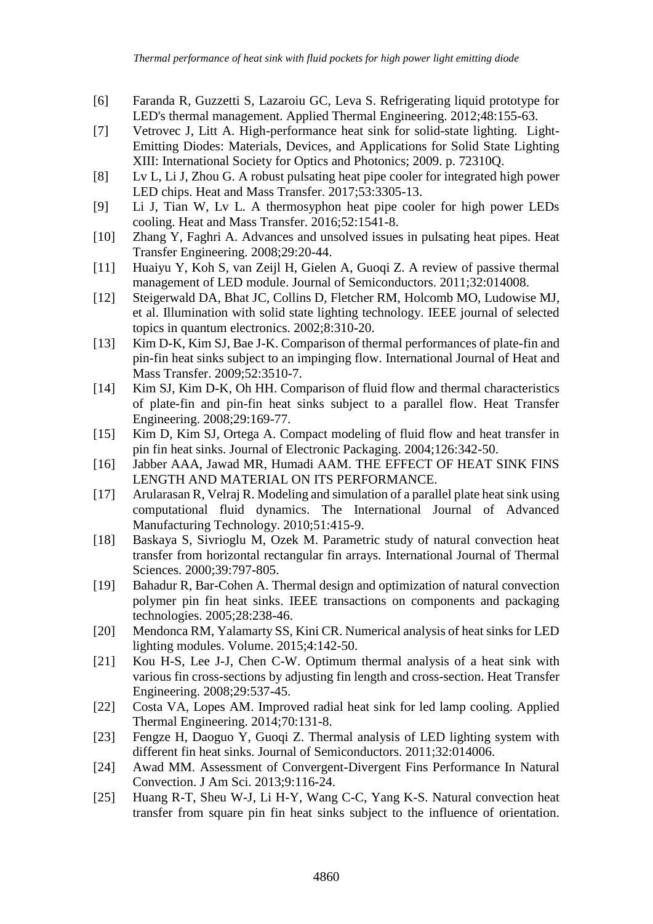- [6] Faranda R, Guzzetti S, Lazaroiu GC, Leva S. Refrigerating liquid prototype for LED's thermal management. Applied Thermal Engineering. 2012;48:155-63.
- [7] Vetrovec J, Litt A. High-performance heat sink for solid-state lighting. Light-Emitting Diodes: Materials, Devices, and Applications for Solid State Lighting XIII: International Society for Optics and Photonics; 2009. p. 72310Q.
- [8] Lv L, Li J, Zhou G. A robust pulsating heat pipe cooler for integrated high power LED chips. Heat and Mass Transfer. 2017;53:3305-13.
- [9] Li J, Tian W, Lv L. A thermosyphon heat pipe cooler for high power LEDs cooling. Heat and Mass Transfer. 2016;52:1541-8.
- [10] Zhang Y, Faghri A. Advances and unsolved issues in pulsating heat pipes. Heat Transfer Engineering. 2008;29:20-44.
- <span id="page-14-0"></span>[11] Huaiyu Y, Koh S, van Zeijl H, Gielen A, Guoqi Z. A review of passive thermal management of LED module. Journal of Semiconductors. 2011;32:014008.
- [12] Steigerwald DA, Bhat JC, Collins D, Fletcher RM, Holcomb MO, Ludowise MJ, et al. Illumination with solid state lighting technology. IEEE journal of selected topics in quantum electronics. 2002;8:310-20.
- [13] Kim D-K, Kim SJ, Bae J-K. Comparison of thermal performances of plate-fin and pin-fin heat sinks subject to an impinging flow. International Journal of Heat and Mass Transfer. 2009;52:3510-7.
- <span id="page-14-9"></span>[14] Kim SJ, Kim D-K, Oh HH. Comparison of fluid flow and thermal characteristics of plate-fin and pin-fin heat sinks subject to a parallel flow. Heat Transfer Engineering. 2008;29:169-77.
- [15] Kim D, Kim SJ, Ortega A. Compact modeling of fluid flow and heat transfer in pin fin heat sinks. Journal of Electronic Packaging. 2004;126:342-50.
- <span id="page-14-1"></span>[16] Jabber AAA, Jawad MR, Humadi AAM. THE EFFECT OF HEAT SINK FINS LENGTH AND MATERIAL ON ITS PERFORMANCE.
- <span id="page-14-2"></span>[17] Arularasan R, Velraj R. Modeling and simulation of a parallel plate heat sink using computational fluid dynamics. The International Journal of Advanced Manufacturing Technology. 2010;51:415-9.
- <span id="page-14-3"></span>[18] Baskaya S, Sivrioglu M, Ozek M. Parametric study of natural convection heat transfer from horizontal rectangular fin arrays. International Journal of Thermal Sciences. 2000;39:797-805.
- <span id="page-14-4"></span>[19] Bahadur R, Bar-Cohen A. Thermal design and optimization of natural convection polymer pin fin heat sinks. IEEE transactions on components and packaging technologies. 2005;28:238-46.
- <span id="page-14-5"></span>[20] Mendonca RM, Yalamarty SS, Kini CR. Numerical analysis of heat sinks for LED lighting modules. Volume. 2015;4:142-50.
- <span id="page-14-6"></span>[21] Kou H-S, Lee J-J, Chen C-W. Optimum thermal analysis of a heat sink with various fin cross-sections by adjusting fin length and cross-section. Heat Transfer Engineering. 2008;29:537-45.
- <span id="page-14-7"></span>[22] Costa VA, Lopes AM. Improved radial heat sink for led lamp cooling. Applied Thermal Engineering. 2014;70:131-8.
- <span id="page-14-8"></span>[23] Fengze H, Daoguo Y, Guoqi Z. Thermal analysis of LED lighting system with different fin heat sinks. Journal of Semiconductors. 2011;32:014006.
- <span id="page-14-10"></span>[24] Awad MM. Assessment of Convergent-Divergent Fins Performance In Natural Convection. J Am Sci. 2013;9:116-24.
- <span id="page-14-11"></span>[25] Huang R-T, Sheu W-J, Li H-Y, Wang C-C, Yang K-S. Natural convection heat transfer from square pin fin heat sinks subject to the influence of orientation.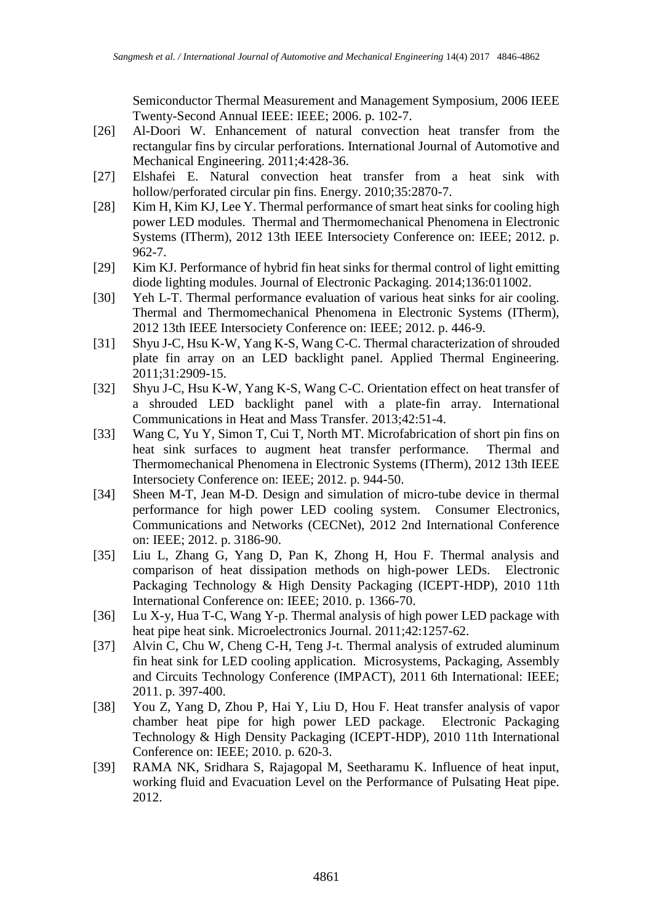Semiconductor Thermal Measurement and Management Symposium, 2006 IEEE Twenty-Second Annual IEEE: IEEE; 2006. p. 102-7.

- <span id="page-15-0"></span>[26] Al-Doori W. Enhancement of natural convection heat transfer from the rectangular fins by circular perforations. International Journal of Automotive and Mechanical Engineering. 2011;4:428-36.
- <span id="page-15-1"></span>[27] Elshafei E. Natural convection heat transfer from a heat sink with hollow/perforated circular pin fins. Energy. 2010;35:2870-7.
- <span id="page-15-2"></span>[28] Kim H, Kim KJ, Lee Y. Thermal performance of smart heat sinks for cooling high power LED modules. Thermal and Thermomechanical Phenomena in Electronic Systems (ITherm), 2012 13th IEEE Intersociety Conference on: IEEE; 2012. p. 962-7.
- <span id="page-15-3"></span>[29] Kim KJ. Performance of hybrid fin heat sinks for thermal control of light emitting diode lighting modules. Journal of Electronic Packaging. 2014;136:011002.
- <span id="page-15-4"></span>[30] Yeh L-T. Thermal performance evaluation of various heat sinks for air cooling. Thermal and Thermomechanical Phenomena in Electronic Systems (ITherm), 2012 13th IEEE Intersociety Conference on: IEEE; 2012. p. 446-9.
- <span id="page-15-5"></span>[31] Shyu J-C, Hsu K-W, Yang K-S, Wang C-C. Thermal characterization of shrouded plate fin array on an LED backlight panel. Applied Thermal Engineering. 2011;31:2909-15.
- <span id="page-15-6"></span>[32] Shyu J-C, Hsu K-W, Yang K-S, Wang C-C. Orientation effect on heat transfer of a shrouded LED backlight panel with a plate-fin array. International Communications in Heat and Mass Transfer. 2013;42:51-4.
- <span id="page-15-7"></span>[33] Wang C, Yu Y, Simon T, Cui T, North MT. Microfabrication of short pin fins on heat sink surfaces to augment heat transfer performance. Thermal and Thermomechanical Phenomena in Electronic Systems (ITherm), 2012 13th IEEE Intersociety Conference on: IEEE; 2012. p. 944-50.
- <span id="page-15-8"></span>[34] Sheen M-T, Jean M-D. Design and simulation of micro-tube device in thermal performance for high power LED cooling system. Consumer Electronics, Communications and Networks (CECNet), 2012 2nd International Conference on: IEEE; 2012. p. 3186-90.
- <span id="page-15-9"></span>[35] Liu L, Zhang G, Yang D, Pan K, Zhong H, Hou F. Thermal analysis and comparison of heat dissipation methods on high-power LEDs. Electronic Packaging Technology & High Density Packaging (ICEPT-HDP), 2010 11th International Conference on: IEEE; 2010. p. 1366-70.
- <span id="page-15-10"></span>[36] Lu X-y, Hua T-C, Wang Y-p. Thermal analysis of high power LED package with heat pipe heat sink. Microelectronics Journal. 2011;42:1257-62.
- <span id="page-15-11"></span>[37] Alvin C, Chu W, Cheng C-H, Teng J-t. Thermal analysis of extruded aluminum fin heat sink for LED cooling application. Microsystems, Packaging, Assembly and Circuits Technology Conference (IMPACT), 2011 6th International: IEEE; 2011. p. 397-400.
- <span id="page-15-12"></span>[38] You Z, Yang D, Zhou P, Hai Y, Liu D, Hou F. Heat transfer analysis of vapor chamber heat pipe for high power LED package. Electronic Packaging Technology & High Density Packaging (ICEPT-HDP), 2010 11th International Conference on: IEEE; 2010. p. 620-3.
- <span id="page-15-13"></span>[39] RAMA NK, Sridhara S, Rajagopal M, Seetharamu K. Influence of heat input, working fluid and Evacuation Level on the Performance of Pulsating Heat pipe. 2012.